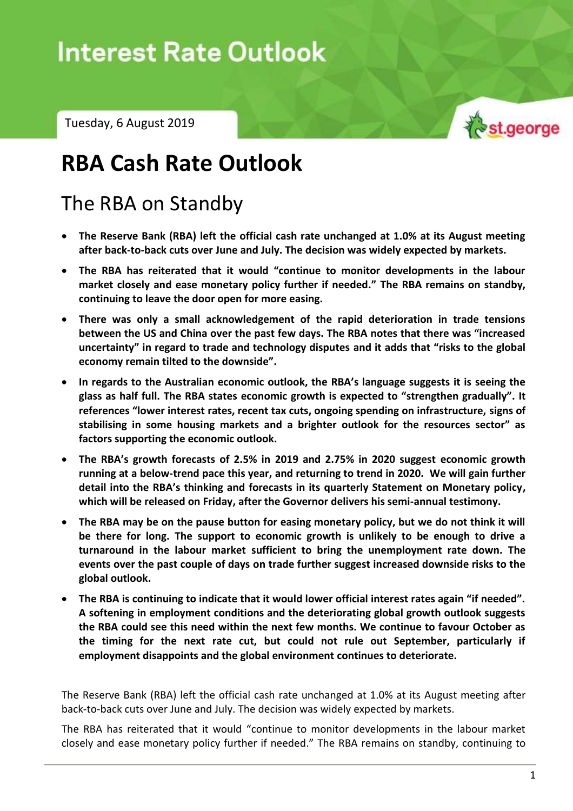# Interest Rate Outlook – Tuesday, 6 August 2019

Tuesday, 6 August 2019



## **RBA Cash Rate Outlook**

### The RBA on Standby

- **The Reserve Bank (RBA) left the official cash rate unchanged at 1.0% at its August meeting after back-to-back cuts over June and July. The decision was widely expected by markets.**
- **The RBA has reiterated that it would "continue to monitor developments in the labour market closely and ease monetary policy further if needed." The RBA remains on standby, continuing to leave the door open for more easing.**
- **There was only a small acknowledgement of the rapid deterioration in trade tensions between the US and China over the past few days. The RBA notes that there was "increased uncertainty" in regard to trade and technology disputes and it adds that "risks to the global economy remain tilted to the downside".**
- **In regards to the Australian economic outlook, the RBA's language suggests it is seeing the glass as half full. The RBA states economic growth is expected to "strengthen gradually". It references "lower interest rates, recent tax cuts, ongoing spending on infrastructure, signs of stabilising in some housing markets and a brighter outlook for the resources sector" as factors supporting the economic outlook.**
- **The RBA's growth forecasts of 2.5% in 2019 and 2.75% in 2020 suggest economic growth running at a below-trend pace this year, and returning to trend in 2020. We will gain further detail into the RBA's thinking and forecasts in its quarterly Statement on Monetary policy, which will be released on Friday, after the Governor delivers his semi-annual testimony.**
- **The RBA may be on the pause button for easing monetary policy, but we do not think it will be there for long. The support to economic growth is unlikely to be enough to drive a turnaround in the labour market sufficient to bring the unemployment rate down. The events over the past couple of days on trade further suggest increased downside risks to the global outlook.**
- **The RBA is continuing to indicate that it would lower official interest rates again "if needed". A softening in employment conditions and the deteriorating global growth outlook suggests the RBA could see this need within the next few months. We continue to favour October as the timing for the next rate cut, but could not rule out September, particularly if employment disappoints and the global environment continues to deteriorate.**

The Reserve Bank (RBA) left the official cash rate unchanged at 1.0% at its August meeting after back-to-back cuts over June and July. The decision was widely expected by markets.

The RBA has reiterated that it would "continue to monitor developments in the labour market closely and ease monetary policy further if needed." The RBA remains on standby, continuing to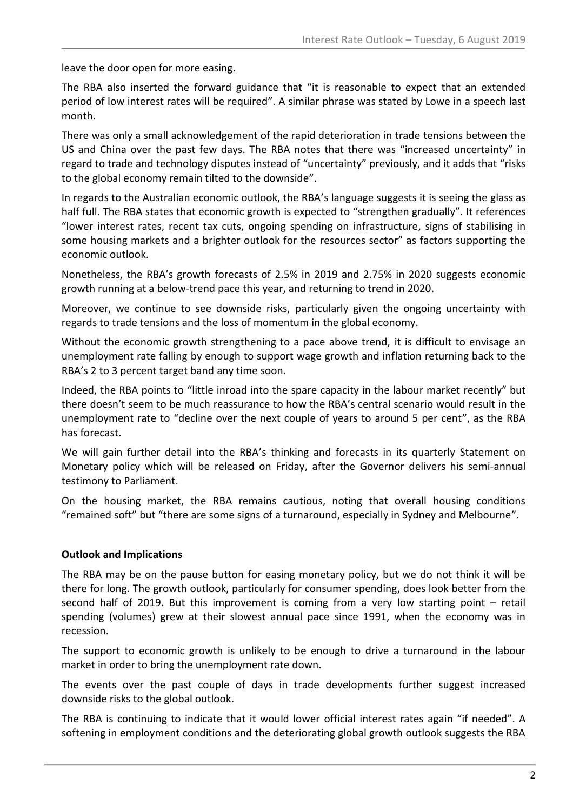leave the door open for more easing.

The RBA also inserted the forward guidance that "it is reasonable to expect that an extended period of low interest rates will be required". A similar phrase was stated by Lowe in a speech last month.

There was only a small acknowledgement of the rapid deterioration in trade tensions between the US and China over the past few days. The RBA notes that there was "increased uncertainty" in regard to trade and technology disputes instead of "uncertainty" previously, and it adds that "risks to the global economy remain tilted to the downside".

In regards to the Australian economic outlook, the RBA's language suggests it is seeing the glass as half full. The RBA states that economic growth is expected to "strengthen gradually". It references "lower interest rates, recent tax cuts, ongoing spending on infrastructure, signs of stabilising in some housing markets and a brighter outlook for the resources sector" as factors supporting the economic outlook.

Nonetheless, the RBA's growth forecasts of 2.5% in 2019 and 2.75% in 2020 suggests economic growth running at a below-trend pace this year, and returning to trend in 2020.

Moreover, we continue to see downside risks, particularly given the ongoing uncertainty with regards to trade tensions and the loss of momentum in the global economy.

Without the economic growth strengthening to a pace above trend, it is difficult to envisage an unemployment rate falling by enough to support wage growth and inflation returning back to the RBA's 2 to 3 percent target band any time soon.

Indeed, the RBA points to "little inroad into the spare capacity in the labour market recently" but there doesn't seem to be much reassurance to how the RBA's central scenario would result in the unemployment rate to "decline over the next couple of years to around 5 per cent", as the RBA has forecast.

We will gain further detail into the RBA's thinking and forecasts in its quarterly Statement on Monetary policy which will be released on Friday, after the Governor delivers his semi-annual testimony to Parliament.

On the housing market, the RBA remains cautious, noting that overall housing conditions "remained soft" but "there are some signs of a turnaround, especially in Sydney and Melbourne".

#### **Outlook and Implications**

The RBA may be on the pause button for easing monetary policy, but we do not think it will be there for long. The growth outlook, particularly for consumer spending, does look better from the second half of 2019. But this improvement is coming from a very low starting point – retail spending (volumes) grew at their slowest annual pace since 1991, when the economy was in recession.

The support to economic growth is unlikely to be enough to drive a turnaround in the labour market in order to bring the unemployment rate down.

The events over the past couple of days in trade developments further suggest increased downside risks to the global outlook.

The RBA is continuing to indicate that it would lower official interest rates again "if needed". A softening in employment conditions and the deteriorating global growth outlook suggests the RBA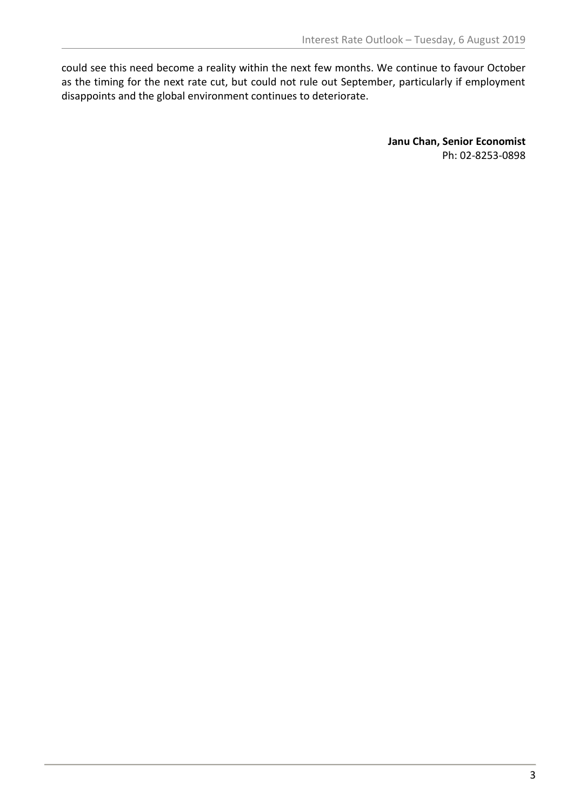could see this need become a reality within the next few months. We continue to favour October as the timing for the next rate cut, but could not rule out September, particularly if employment disappoints and the global environment continues to deteriorate.

> **Janu Chan, Senior Economist** Ph: 02-8253-0898